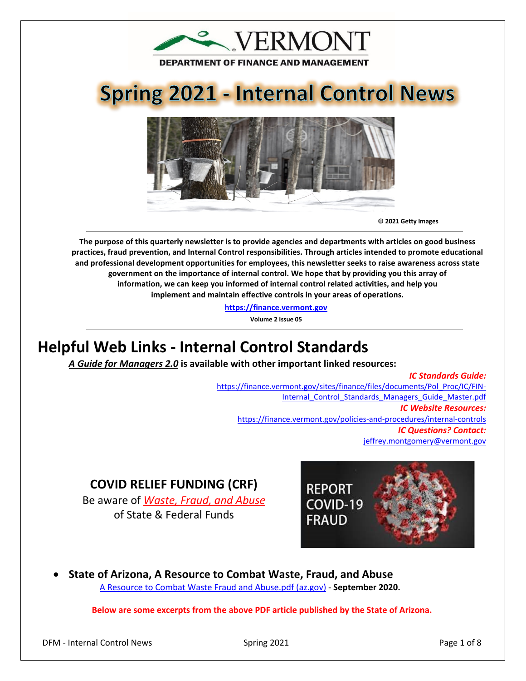

# **Spring 2021 - Internal Control News**



**© 2021 Getty Images** 

**The purpose of this quarterly newsletter is to provide agencies and departments with articles on good business practices, fraud prevention, and Internal Control responsibilities. Through articles intended to promote educational and professional development opportunities for employees, this newsletter seeks to raise awareness across state government on the importance of internal control. We hope that by providing you this array of information, we can keep you informed of internal control related activities, and help you implement and maintain effective controls in your areas of operations.**

**[https://finance.vermont.gov](https://finance.vermont.gov/)**

**Volume 2 Issue 05**

# **Helpful Web Links - Internal Control Standards**

*A Guide for Managers 2.0* **is available with other important linked resources:** 

*IC Standards Guide:* [https://finance.vermont.gov/sites/finance/files/documents/Pol\\_Proc/IC/FIN-](https://finance.vermont.gov/sites/finance/files/documents/Pol_Proc/IC/FIN-Internal_Control_Standards_Managers_Guide_Master.pdf)Internal Control Standards Managers Guide Master.pdf *IC Website Resources:*  <https://finance.vermont.gov/policies-and-procedures/internal-controls> *IC Questions? Contact:* [jeffrey.montgomery@vermont.gov](mailto:jeffrey.montgomery@vermont.gov)

# **COVID RELIEF FUNDING (CRF)**

Be aware of *Waste, Fraud, and Abuse* of State & Federal Funds



• **State of Arizona, A Resource to Combat Waste, Fraud, and Abuse** [A Resource to Combat Waste Fraud and Abuse.pdf \(az.gov\)](https://gao.az.gov/sites/default/files/A%20Resource%20to%20Combat%20Waste%20Fraud%20and%20Abuse.pdf) - **September 2020.**

**Below are some excerpts from the above PDF article published by the State of Arizona.**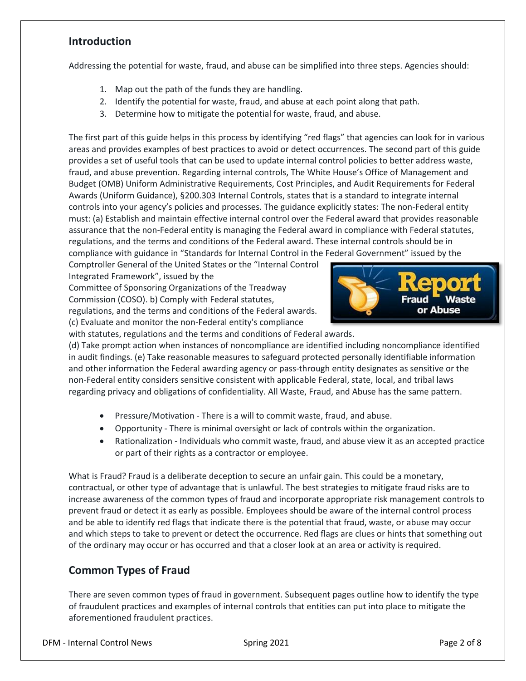# **Introduction**

Addressing the potential for waste, fraud, and abuse can be simplified into three steps. Agencies should:

- 1. Map out the path of the funds they are handling.
- 2. Identify the potential for waste, fraud, and abuse at each point along that path.
- 3. Determine how to mitigate the potential for waste, fraud, and abuse.

The first part of this guide helps in this process by identifying "red flags" that agencies can look for in various areas and provides examples of best practices to avoid or detect occurrences. The second part of this guide provides a set of useful tools that can be used to update internal control policies to better address waste, fraud, and abuse prevention. Regarding internal controls, The White House's Office of Management and Budget (OMB) Uniform Administrative Requirements, Cost Principles, and Audit Requirements for Federal Awards (Uniform Guidance), §200.303 Internal Controls, states that is a standard to integrate internal controls into your agency's policies and processes. The guidance explicitly states: The non-Federal entity must: (a) Establish and maintain effective internal control over the Federal award that provides reasonable assurance that the non-Federal entity is managing the Federal award in compliance with Federal statutes, regulations, and the terms and conditions of the Federal award. These internal controls should be in compliance with guidance in "Standards for Internal Control in the Federal Government" issued by the

Comptroller General of the United States or the "Internal Control Integrated Framework", issued by the

Committee of Sponsoring Organizations of the Treadway Commission (COSO). b) Comply with Federal statutes, regulations, and the terms and conditions of the Federal awards. (c) Evaluate and monitor the non-Federal entity's compliance





(d) Take prompt action when instances of noncompliance are identified including noncompliance identified in audit findings. (e) Take reasonable measures to safeguard protected personally identifiable information and other information the Federal awarding agency or pass-through entity designates as sensitive or the non-Federal entity considers sensitive consistent with applicable Federal, state, local, and tribal laws regarding privacy and obligations of confidentiality. All Waste, Fraud, and Abuse has the same pattern.

- Pressure/Motivation There is a will to commit waste, fraud, and abuse.
- Opportunity There is minimal oversight or lack of controls within the organization.
- Rationalization Individuals who commit waste, fraud, and abuse view it as an accepted practice or part of their rights as a contractor or employee.

What is Fraud? Fraud is a deliberate deception to secure an unfair gain. This could be a monetary, contractual, or other type of advantage that is unlawful. The best strategies to mitigate fraud risks are to increase awareness of the common types of fraud and incorporate appropriate risk management controls to prevent fraud or detect it as early as possible. Employees should be aware of the internal control process and be able to identify red flags that indicate there is the potential that fraud, waste, or abuse may occur and which steps to take to prevent or detect the occurrence. Red flags are clues or hints that something out of the ordinary may occur or has occurred and that a closer look at an area or activity is required.

# **Common Types of Fraud**

There are seven common types of fraud in government. Subsequent pages outline how to identify the type of fraudulent practices and examples of internal controls that entities can put into place to mitigate the aforementioned fraudulent practices.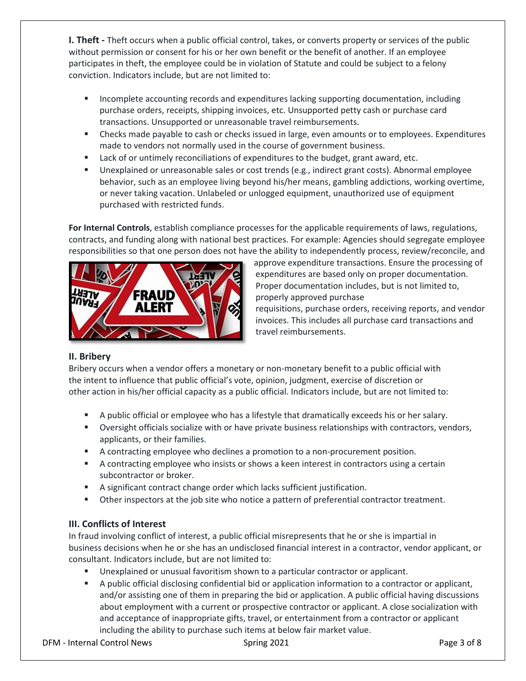**I. Theft -** Theft occurs when a public official control, takes, or converts property or services of the public without permission or consent for his or her own benefit or the benefit of another. If an employee participates in theft, the employee could be in violation of Statute and could be subject to a felony conviction. Indicators include, but are not limited to:

- **Incomplete accounting records and expenditures lacking supporting documentation, including** purchase orders, receipts, shipping invoices, etc. Unsupported petty cash or purchase card transactions. Unsupported or unreasonable travel reimbursements.
- Checks made payable to cash or checks issued in large, even amounts or to employees. Expenditures made to vendors not normally used in the course of government business.
- Lack of or untimely reconciliations of expenditures to the budget, grant award, etc.
- Unexplained or unreasonable sales or cost trends (e.g., indirect grant costs). Abnormal employee behavior, such as an employee living beyond his/her means, gambling addictions, working overtime, or never taking vacation. Unlabeled or unlogged equipment, unauthorized use of equipment purchased with restricted funds.

**For Internal Controls**, establish compliance processes for the applicable requirements of laws, regulations, contracts, and funding along with national best practices. For example: Agencies should segregate employee responsibilities so that one person does not have the ability to independently process, review/reconcile, and



approve expenditure transactions. Ensure the processing of expenditures are based only on proper documentation. Proper documentation includes, but is not limited to, properly approved purchase

requisitions, purchase orders, receiving reports, and vendor invoices. This includes all purchase card transactions and travel reimbursements.

#### **II. Bribery**

Bribery occurs when a vendor offers a monetary or non-monetary benefit to a public official with the intent to influence that public official's vote, opinion, judgment, exercise of discretion or other action in his/her official capacity as a public official. Indicators include, but are not limited to:

- A public official or employee who has a lifestyle that dramatically exceeds his or her salary.
- Oversight officials socialize with or have private business relationships with contractors, vendors, applicants, or their families.
- A contracting employee who declines a promotion to a non-procurement position.
- A contracting employee who insists or shows a keen interest in contractors using a certain subcontractor or broker.
- A significant contract change order which lacks sufficient justification.
- Other inspectors at the job site who notice a pattern of preferential contractor treatment.

#### **III. Conflicts of Interest**

In fraud involving conflict of interest, a public official misrepresents that he or she is impartial in business decisions when he or she has an undisclosed financial interest in a contractor, vendor applicant, or consultant. Indicators include, but are not limited to:

- Unexplained or unusual favoritism shown to a particular contractor or applicant.
- A public official disclosing confidential bid or application information to a contractor or applicant, and/or assisting one of them in preparing the bid or application. A public official having discussions about employment with a current or prospective contractor or applicant. A close socialization with and acceptance of inappropriate gifts, travel, or entertainment from a contractor or applicant including the ability to purchase such items at below fair market value.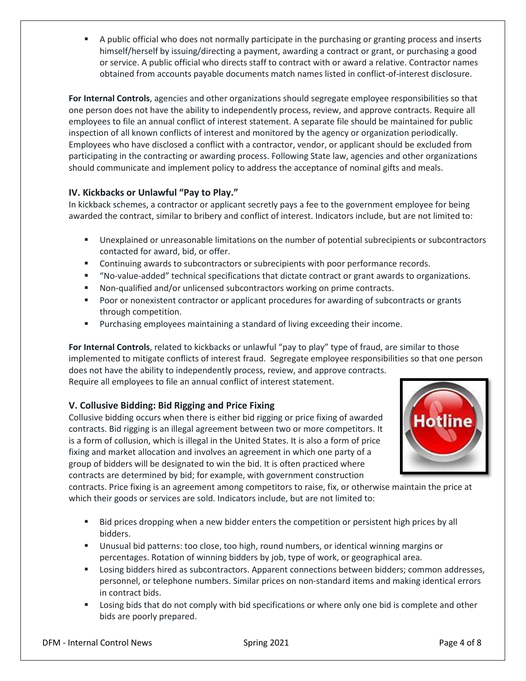A public official who does not normally participate in the purchasing or granting process and inserts himself/herself by issuing/directing a payment, awarding a contract or grant, or purchasing a good or service. A public official who directs staff to contract with or award a relative. Contractor names obtained from accounts payable documents match names listed in conflict-of-interest disclosure.

**For Internal Controls**, agencies and other organizations should segregate employee responsibilities so that one person does not have the ability to independently process, review, and approve contracts. Require all employees to file an annual conflict of interest statement. A separate file should be maintained for public inspection of all known conflicts of interest and monitored by the agency or organization periodically. Employees who have disclosed a conflict with a contractor, vendor, or applicant should be excluded from participating in the contracting or awarding process. Following State law, agencies and other organizations should communicate and implement policy to address the acceptance of nominal gifts and meals.

#### **IV. Kickbacks or Unlawful "Pay to Play."**

In kickback schemes, a contractor or applicant secretly pays a fee to the government employee for being awarded the contract, similar to bribery and conflict of interest. Indicators include, but are not limited to:

- Unexplained or unreasonable limitations on the number of potential subrecipients or subcontractors contacted for award, bid, or offer.
- Continuing awards to subcontractors or subrecipients with poor performance records.
- "No-value-added" technical specifications that dictate contract or grant awards to organizations.
- Non-qualified and/or unlicensed subcontractors working on prime contracts.
- **Poor or nonexistent contractor or applicant procedures for awarding of subcontracts or grants** through competition.
- **Purchasing employees maintaining a standard of living exceeding their income.**

**For Internal Controls**, related to kickbacks or unlawful "pay to play" type of fraud, are similar to those implemented to mitigate conflicts of interest fraud. Segregate employee responsibilities so that one person does not have the ability to independently process, review, and approve contracts.

Require all employees to file an annual conflict of interest statement.

#### **V. Collusive Bidding: Bid Rigging and Price Fixing**

Collusive bidding occurs when there is either bid rigging or price fixing of awarded contracts. Bid rigging is an illegal agreement between two or more competitors. It is a form of collusion, which is illegal in the United States. It is also a form of price fixing and market allocation and involves an agreement in which one party of a group of bidders will be designated to win the bid. It is often practiced where contracts are determined by bid; for example, with government construction



contracts. Price fixing is an agreement among competitors to raise, fix, or otherwise maintain the price at which their goods or services are sold. Indicators include, but are not limited to:

- Bid prices dropping when a new bidder enters the competition or persistent high prices by all bidders.
- Unusual bid patterns: too close, too high, round numbers, or identical winning margins or percentages. Rotation of winning bidders by job, type of work, or geographical area.
- Losing bidders hired as subcontractors. Apparent connections between bidders; common addresses, personnel, or telephone numbers. Similar prices on non-standard items and making identical errors in contract bids.
- Losing bids that do not comply with bid specifications or where only one bid is complete and other bids are poorly prepared.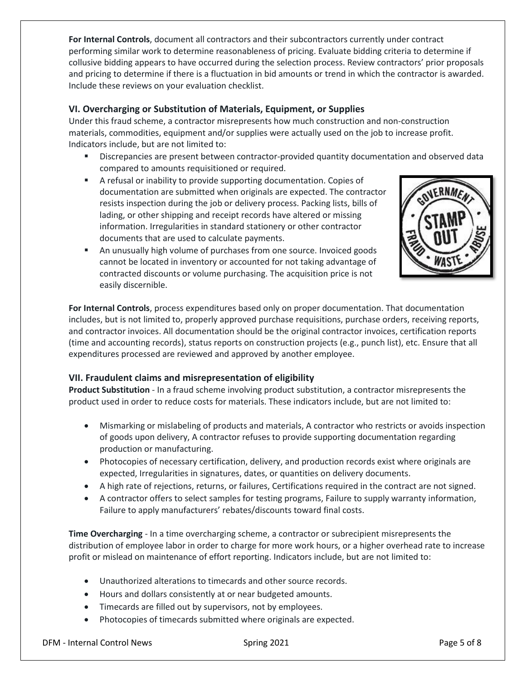**For Internal Controls**, document all contractors and their subcontractors currently under contract performing similar work to determine reasonableness of pricing. Evaluate bidding criteria to determine if collusive bidding appears to have occurred during the selection process. Review contractors' prior proposals and pricing to determine if there is a fluctuation in bid amounts or trend in which the contractor is awarded. Include these reviews on your evaluation checklist.

#### **VI. Overcharging or Substitution of Materials, Equipment, or Supplies**

Under this fraud scheme, a contractor misrepresents how much construction and non-construction materials, commodities, equipment and/or supplies were actually used on the job to increase profit. Indicators include, but are not limited to:

- Discrepancies are present between contractor-provided quantity documentation and observed data compared to amounts requisitioned or required.
- A refusal or inability to provide supporting documentation. Copies of documentation are submitted when originals are expected. The contractor resists inspection during the job or delivery process. Packing lists, bills of lading, or other shipping and receipt records have altered or missing information. Irregularities in standard stationery or other contractor documents that are used to calculate payments.



 An unusually high volume of purchases from one source. Invoiced goods cannot be located in inventory or accounted for not taking advantage of contracted discounts or volume purchasing. The acquisition price is not easily discernible.

**For Internal Controls**, process expenditures based only on proper documentation. That documentation includes, but is not limited to, properly approved purchase requisitions, purchase orders, receiving reports, and contractor invoices. All documentation should be the original contractor invoices, certification reports (time and accounting records), status reports on construction projects (e.g., punch list), etc. Ensure that all expenditures processed are reviewed and approved by another employee.

#### **VII. Fraudulent claims and misrepresentation of eligibility**

**Product Substitution** - In a fraud scheme involving product substitution, a contractor misrepresents the product used in order to reduce costs for materials. These indicators include, but are not limited to:

- Mismarking or mislabeling of products and materials, A contractor who restricts or avoids inspection of goods upon delivery, A contractor refuses to provide supporting documentation regarding production or manufacturing.
- Photocopies of necessary certification, delivery, and production records exist where originals are expected, Irregularities in signatures, dates, or quantities on delivery documents.
- A high rate of rejections, returns, or failures, Certifications required in the contract are not signed.
- A contractor offers to select samples for testing programs, Failure to supply warranty information, Failure to apply manufacturers' rebates/discounts toward final costs.

**Time Overcharging** - In a time overcharging scheme, a contractor or subrecipient misrepresents the distribution of employee labor in order to charge for more work hours, or a higher overhead rate to increase profit or mislead on maintenance of effort reporting. Indicators include, but are not limited to:

- Unauthorized alterations to timecards and other source records.
- Hours and dollars consistently at or near budgeted amounts.
- Timecards are filled out by supervisors, not by employees.
- Photocopies of timecards submitted where originals are expected.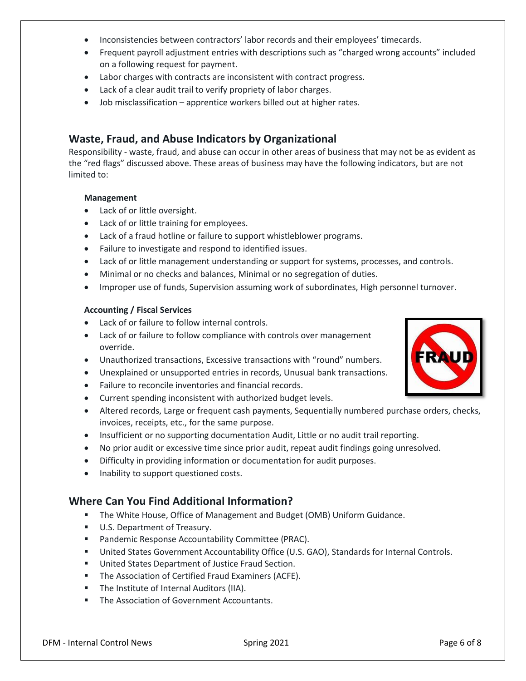- Inconsistencies between contractors' labor records and their employees' timecards.
- Frequent payroll adjustment entries with descriptions such as "charged wrong accounts" included on a following request for payment.
- Labor charges with contracts are inconsistent with contract progress.
- Lack of a clear audit trail to verify propriety of labor charges.
- Job misclassification apprentice workers billed out at higher rates.

## **Waste, Fraud, and Abuse Indicators by Organizational**

Responsibility - waste, fraud, and abuse can occur in other areas of business that may not be as evident as the "red flags" discussed above. These areas of business may have the following indicators, but are not limited to:

#### **Management**

- Lack of or little oversight.
- Lack of or little training for employees.
- Lack of a fraud hotline or failure to support whistleblower programs.
- Failure to investigate and respond to identified issues.
- Lack of or little management understanding or support for systems, processes, and controls.
- Minimal or no checks and balances, Minimal or no segregation of duties.
- Improper use of funds, Supervision assuming work of subordinates, High personnel turnover.

#### **Accounting / Fiscal Services**

- Lack of or failure to follow internal controls.
- Lack of or failure to follow compliance with controls over management override.
- Unauthorized transactions, Excessive transactions with "round" numbers.
- Unexplained or unsupported entries in records, Unusual bank transactions.
- Failure to reconcile inventories and financial records.
- Current spending inconsistent with authorized budget levels.
- Altered records, Large or frequent cash payments, Sequentially numbered purchase orders, checks, invoices, receipts, etc., for the same purpose.
- Insufficient or no supporting documentation Audit, Little or no audit trail reporting.
- No prior audit or excessive time since prior audit, repeat audit findings going unresolved.
- Difficulty in providing information or documentation for audit purposes.
- Inability to support questioned costs.

# **Where Can You Find Additional Information?**

- **The White House, Office of Management and Budget (OMB) Uniform Guidance.**
- U.S. Department of Treasury.
- Pandemic Response Accountability Committee (PRAC).
- United States Government Accountability Office (U.S. GAO), Standards for Internal Controls.
- United States Department of Justice Fraud Section.
- The Association of Certified Fraud Examiners (ACFE).
- The Institute of Internal Auditors (IIA).
- The Association of Government Accountants.

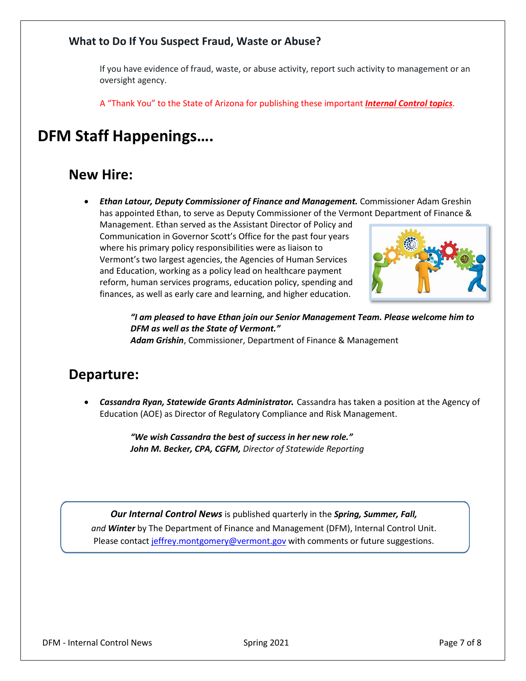## **What to Do If You Suspect Fraud, Waste or Abuse?**

If you have evidence of fraud, waste, or abuse activity, report such activity to management or an oversight agency.

A "Thank You" to the State of Arizona for publishing these important *Internal Control topics*.

# **DFM Staff Happenings….**

# **New Hire:**

• *Ethan Latour, Deputy Commissioner of Finance and Management.* Commissioner Adam Greshin has appointed Ethan, to serve as Deputy Commissioner of the Vermont Department of Finance &

Management. Ethan served as the Assistant Director of Policy and Communication in Governor Scott's Office for the past four years where his primary policy responsibilities were as liaison to Vermont's two largest agencies, the Agencies of Human Services and Education, working as a policy lead on healthcare payment reform, human services programs, education policy, spending and finances, as well as early care and learning, and higher education.



*"I am pleased to have Ethan join our Senior Management Team. Please welcome him to DFM as well as the State of Vermont." Adam Grishin*, Commissioner, Department of Finance & Management

# **Departure:**

• *Cassandra Ryan, Statewide Grants Administrator.* Cassandra has taken a position at the Agency of Education (AOE) as Director of Regulatory Compliance and Risk Management.

> *"We wish Cassandra the best of success in her new role." John M. Becker, CPA, CGFM, Director of Statewide Reporting*

*Our Internal Control News* is published quarterly in the *Spring, Summer, Fall, and Winter* by The Department of Finance and Management (DFM), Internal Control Unit. Please contact [jeffrey.montgomery@vermont.gov](mailto:Jeffrey.Montgomery@vermont.gov) with comments or future suggestions.